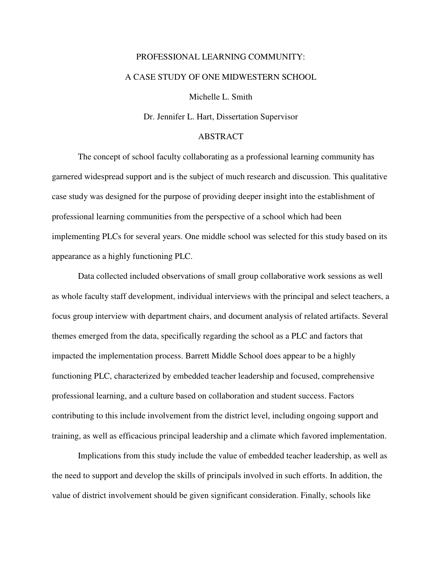## PROFESSIONAL LEARNING COMMUNITY: A CASE STUDY OF ONE MIDWESTERN SCHOOL

Michelle L. Smith

Dr. Jennifer L. Hart, Dissertation Supervisor

## ABSTRACT

 The concept of school faculty collaborating as a professional learning community has garnered widespread support and is the subject of much research and discussion. This qualitative case study was designed for the purpose of providing deeper insight into the establishment of professional learning communities from the perspective of a school which had been implementing PLCs for several years. One middle school was selected for this study based on its appearance as a highly functioning PLC.

 Data collected included observations of small group collaborative work sessions as well as whole faculty staff development, individual interviews with the principal and select teachers, a focus group interview with department chairs, and document analysis of related artifacts. Several themes emerged from the data, specifically regarding the school as a PLC and factors that impacted the implementation process. Barrett Middle School does appear to be a highly functioning PLC, characterized by embedded teacher leadership and focused, comprehensive professional learning, and a culture based on collaboration and student success. Factors contributing to this include involvement from the district level, including ongoing support and training, as well as efficacious principal leadership and a climate which favored implementation.

 Implications from this study include the value of embedded teacher leadership, as well as the need to support and develop the skills of principals involved in such efforts. In addition, the value of district involvement should be given significant consideration. Finally, schools like